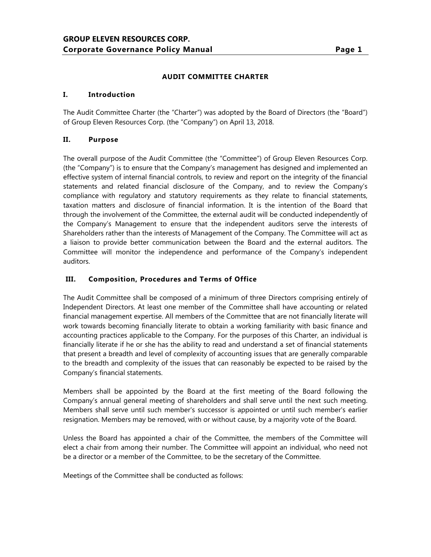### **AUDIT COMMITTEE CHARTER**

#### **I. Introduction**

The Audit Committee Charter (the "Charter") was adopted by the Board of Directors (the "Board") of Group Eleven Resources Corp. (the "Company") on April 13, 2018.

#### **II. Purpose**

The overall purpose of the Audit Committee (the "Committee") of Group Eleven Resources Corp. (the "Company") is to ensure that the Company's management has designed and implemented an effective system of internal financial controls, to review and report on the integrity of the financial statements and related financial disclosure of the Company, and to review the Company's compliance with regulatory and statutory requirements as they relate to financial statements, taxation matters and disclosure of financial information. It is the intention of the Board that through the involvement of the Committee, the external audit will be conducted independently of the Company's Management to ensure that the independent auditors serve the interests of Shareholders rather than the interests of Management of the Company. The Committee will act as a liaison to provide better communication between the Board and the external auditors. The Committee will monitor the independence and performance of the Company's independent auditors.

### **III. Composition, Procedures and Terms of Office**

The Audit Committee shall be composed of a minimum of three Directors comprising entirely of Independent Directors. At least one member of the Committee shall have accounting or related financial management expertise. All members of the Committee that are not financially literate will work towards becoming financially literate to obtain a working familiarity with basic finance and accounting practices applicable to the Company. For the purposes of this Charter, an individual is financially literate if he or she has the ability to read and understand a set of financial statements that present a breadth and level of complexity of accounting issues that are generally comparable to the breadth and complexity of the issues that can reasonably be expected to be raised by the Company's financial statements.

Members shall be appointed by the Board at the first meeting of the Board following the Company's annual general meeting of shareholders and shall serve until the next such meeting. Members shall serve until such member's successor is appointed or until such member's earlier resignation. Members may be removed, with or without cause, by a majority vote of the Board.

Unless the Board has appointed a chair of the Committee, the members of the Committee will elect a chair from among their number. The Committee will appoint an individual, who need not be a director or a member of the Committee, to be the secretary of the Committee.

Meetings of the Committee shall be conducted as follows: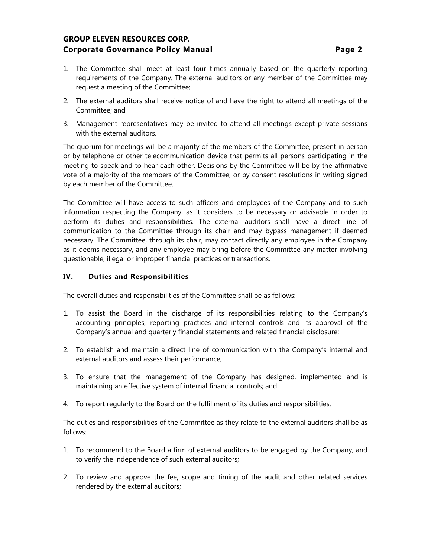# **GROUP ELEVEN RESOURCES CORP. Corporate Governance Policy Manual Page 2**

- 1. The Committee shall meet at least four times annually based on the quarterly reporting requirements of the Company. The external auditors or any member of the Committee may request a meeting of the Committee;
- 2. The external auditors shall receive notice of and have the right to attend all meetings of the Committee; and
- 3. Management representatives may be invited to attend all meetings except private sessions with the external auditors.

The quorum for meetings will be a majority of the members of the Committee, present in person or by telephone or other telecommunication device that permits all persons participating in the meeting to speak and to hear each other. Decisions by the Committee will be by the affirmative vote of a majority of the members of the Committee, or by consent resolutions in writing signed by each member of the Committee.

The Committee will have access to such officers and employees of the Company and to such information respecting the Company, as it considers to be necessary or advisable in order to perform its duties and responsibilities. The external auditors shall have a direct line of communication to the Committee through its chair and may bypass management if deemed necessary. The Committee, through its chair, may contact directly any employee in the Company as it deems necessary, and any employee may bring before the Committee any matter involving questionable, illegal or improper financial practices or transactions.

### **IV. Duties and Responsibilities**

The overall duties and responsibilities of the Committee shall be as follows:

- 1. To assist the Board in the discharge of its responsibilities relating to the Company's accounting principles, reporting practices and internal controls and its approval of the Company's annual and quarterly financial statements and related financial disclosure;
- 2. To establish and maintain a direct line of communication with the Company's internal and external auditors and assess their performance;
- 3. To ensure that the management of the Company has designed, implemented and is maintaining an effective system of internal financial controls; and
- 4. To report regularly to the Board on the fulfillment of its duties and responsibilities.

The duties and responsibilities of the Committee as they relate to the external auditors shall be as follows:

- 1. To recommend to the Board a firm of external auditors to be engaged by the Company, and to verify the independence of such external auditors;
- 2. To review and approve the fee, scope and timing of the audit and other related services rendered by the external auditors;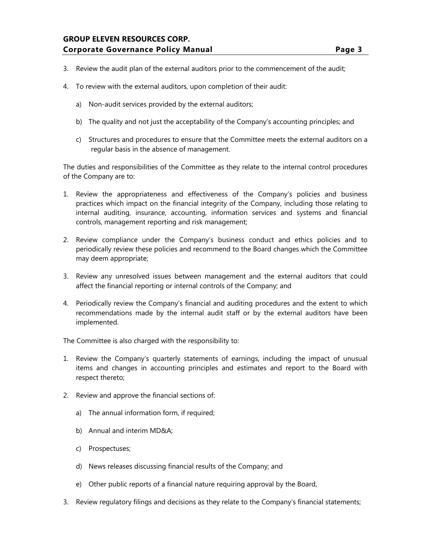# **GROUP ELEVEN RESOURCES CORP. Corporate Governance Policy Manual Page 3**

- 3. Review the audit plan of the external auditors prior to the commencement of the audit;
- 4. To review with the external auditors, upon completion of their audit:
	- a) Non-audit services provided by the external auditors;
	- b) The quality and not just the acceptability of the Company's accounting principles; and
	- c) Structures and procedures to ensure that the Committee meets the external auditors on a regular basis in the absence of management.

The duties and responsibilities of the Committee as they relate to the internal control procedures of the Company are to:

- 1. Review the appropriateness and effectiveness of the Company's policies and business practices which impact on the financial integrity of the Company, including those relating to internal auditing, insurance, accounting, information services and systems and financial controls, management reporting and risk management;
- 2. Review compliance under the Company's business conduct and ethics policies and to periodically review these policies and recommend to the Board changes which the Committee may deem appropriate;
- 3. Review any unresolved issues between management and the external auditors that could affect the financial reporting or internal controls of the Company; and
- 4. Periodically review the Company's financial and auditing procedures and the extent to which recommendations made by the internal audit staff or by the external auditors have been implemented.

The Committee is also charged with the responsibility to:

- 1. Review the Company's quarterly statements of earnings, including the impact of unusual items and changes in accounting principles and estimates and report to the Board with respect thereto;
- 2. Review and approve the financial sections of:
	- a) The annual information form, if required;
	- b) Annual and interim MD&A;
	- c) Prospectuses;
	- d) News releases discussing financial results of the Company; and
	- e) Other public reports of a financial nature requiring approval by the Board,
- 3. Review regulatory filings and decisions as they relate to the Company's financial statements;